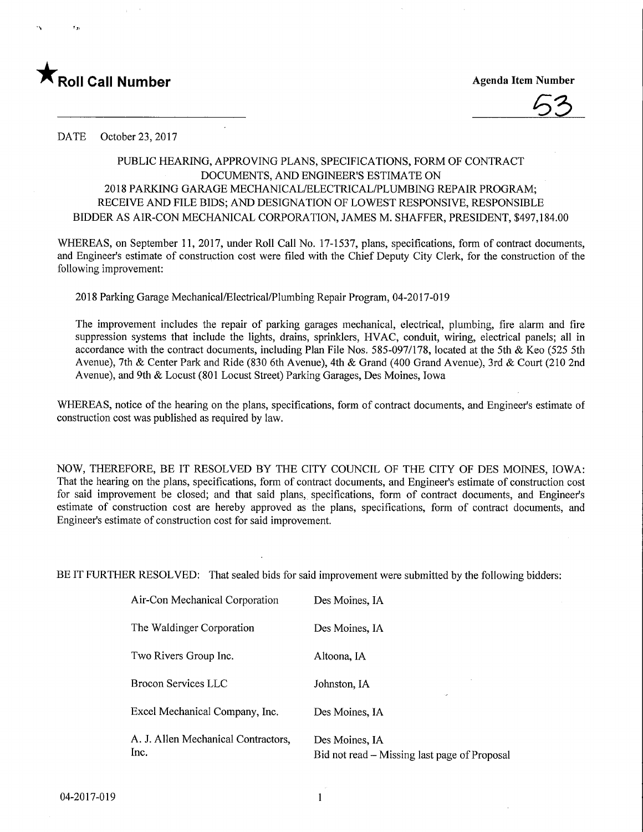

6S

DATE October 23, 2017

## PUBLIC HEARING, APPROVING PLANS, SPECIFICATIONS, FORM OF CONTRACT DOCUMENTS, AND ENGINEER'S ESTIMATE ON 2018 PARKING GARAGE MECHANICAL/ELECTRICAL/PLUMBING REPAIR PROGRAM; RECEIVE AND FILE BIDS; AND DESIGNATION OF LOWEST RESPONSIVE, RESPONSIBLE BIDDER AS AIR-CON MECHANICAL CORPORATION, JAMES M. SHAFFER, PRESIDENT, \$497,184.00

WHEREAS, on September 11, 2017, under Roll Call No. 17-1537, plans, specifications, form of contract documents, and Engineer's estimate of construction cost were filed with the Chief Deputy City Clerk, for the construction of the following improvement:

2018 Parking Garage Mechanical/Electrical/Plumbing Repair Program, 04-2017-019

 $\sim$ 

The improvement includes the repair of parking garages mechanical, electrical, plumbing, fire alarm and fire suppression systems that include the lights, drains, sprinklers, HVAC, conduit, wiring, electrical panels; all in accordance with the contract documents, including Plan File Nos. 585-097/178, located at the 5th & Keo (525 5th Avenue), 7th & Center Park and Ride (830 6th Avenue), 4th & Grand (400 Grand Avenue), 3rd & Court (210 2nd Avenue), and 9th & Locust (801 Locust Street) Parking Garages, Des Moines, Iowa

WHEREAS, notice of the hearing on the plans, specifications, form of contract documents, and Engineer's estimate of construction cost was published as required by law.

NOW, THEREFORE, BE IT RESOLVED BY THE CITY COUNCIL OF THE CITY OF DES MOINES, IOWA: That the hearing on the plans, specifications, form of contract documents, and Engineer's estimate of construction cost for said improvement be closed; and that said plans, specifications, form of contract documents, and Engineer's estimate of construction cost are hereby approved as the plans, specifications, form of contract documents, and Engineer's estimate of construction cost for said improvement.

BE IT FURTHER RESOLVED: That sealed bids for said improvement were submitted by the following bidders:

| Air-Con Mechanical Corporation              | Des Moines, IA                                                 |
|---------------------------------------------|----------------------------------------------------------------|
| The Waldinger Corporation                   | Des Moines, IA                                                 |
| Two Rivers Group Inc.                       | Altoona, IA                                                    |
| <b>Brocon Services LLC</b>                  | Johnston, IA<br>۰,                                             |
| Excel Mechanical Company, Inc.              | Des Moines, IA                                                 |
| A. J. Allen Mechanical Contractors,<br>Inc. | Des Moines, IA<br>Bid not read – Missing last page of Proposal |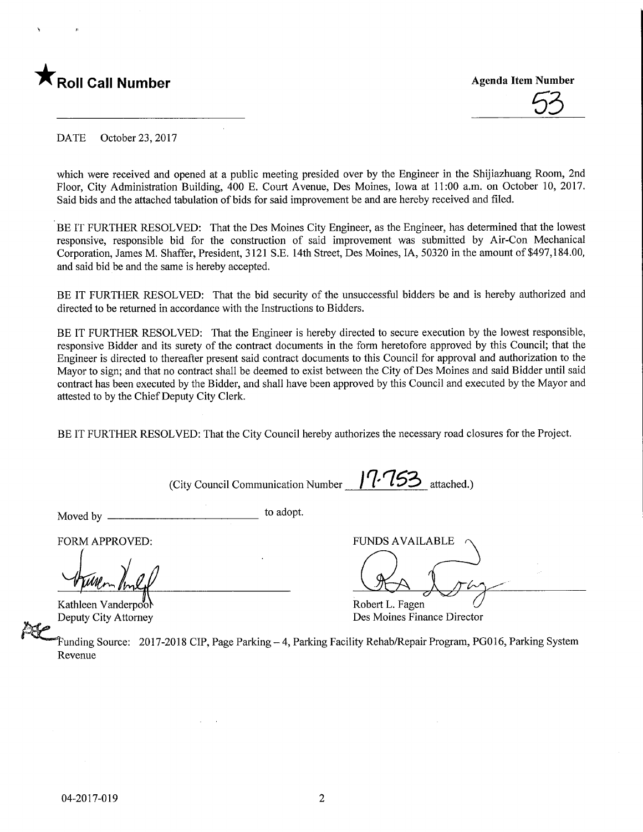



DATE October 23, 2017

which were received and opened at a public meeting presided over by the Engineer in the Shijiazhuang Room, 2nd Floor, City Administration Building, 400 E. Court Avenue, Des Moines, Iowa at 11:00 a.m. on October 10, 2017. Said bids and the attached tabulation of bids for said improvement be and are hereby received and filed.

BE IT FURTHER RESOLVED: That the Des Moines City Engineer, as the Engineer, has determined that the lowest responsive, responsible bid for the construction of said improvement was submitted by Air-Con Mechanical Corporation, James M. Shaffer, President, 3121 S.E. 14th Street, Des Moines, IA, 50320 in the amount of \$497,184.00, and said bid be and the same is hereby accepted.

BE IT FURTHER RESOLVED: That the bid security of the unsuccessful bidders be and is hereby authorized and directed to be returned in accordance with the Instructions to Bidders.

BE IT FURTHER RESOLVED: That the Engineer is hereby directed to secure execution by the lowest responsible, responsive Bidder and its surety of the contract documents in the form heretofore approved by this Council; that the Engineer is directed to thereafter present said contract documents to this Council for approval and authorization to the Mayor to sign; and that no contract shall be deemed to exist between the City of Des Moines and said Bidder until said contract has been executed by the Bidder, and shall have been approved by this Council and executed by the Mayor and attested to by the Chief Deputy City Clerk.

BE IT FURTHER RESOLVED: That the City Council hereby authorizes the necessary road closures for the Project.

(City Council Communication Number  $1'$  $1'$  $15'$  attached.)

Moved by to adopt.

FORM APPROVED:

Kathleen Vanderpo'ol Deputy City Attorney

FUNDS AVAILABLE

Robert L. Fagen Des Moines Finance Director

?unding Source: 2017-2018 CIP, Page Parking - 4, Parking Facility Rehab/Repair Program, PG016, Parking System Revenue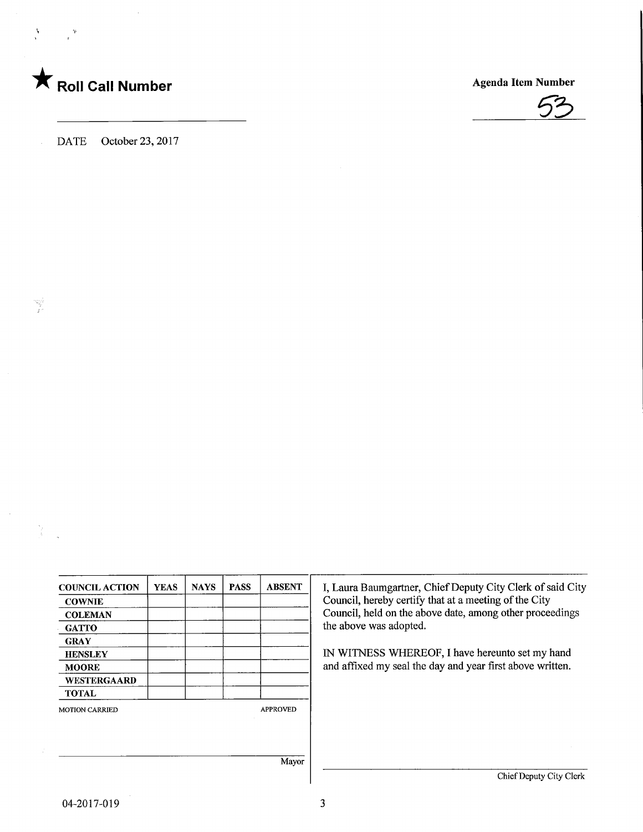## **The Soli Call Number Agenda Item Number** Agenda Item Number

v



COUNCIL ACTION **COWNIE COLEMAN GATTO** GRAY **HENSLEY** MOORE WESTERGAARD TOTAL YEAS | NAYS | PASS | ABSENT MOTION CARRIED APPROVED Mayor I, Laura Baumgartner, Chief Deputy City Clerk of said City Council, hereby certify that at a meeting of the City Council, held on the above date, among other proceedings the above was adopted. EN WITNESS WHEREOF, I have hereunto set my hand and affixed my seal the day and year first above written. Chief Deputy City Clerk

3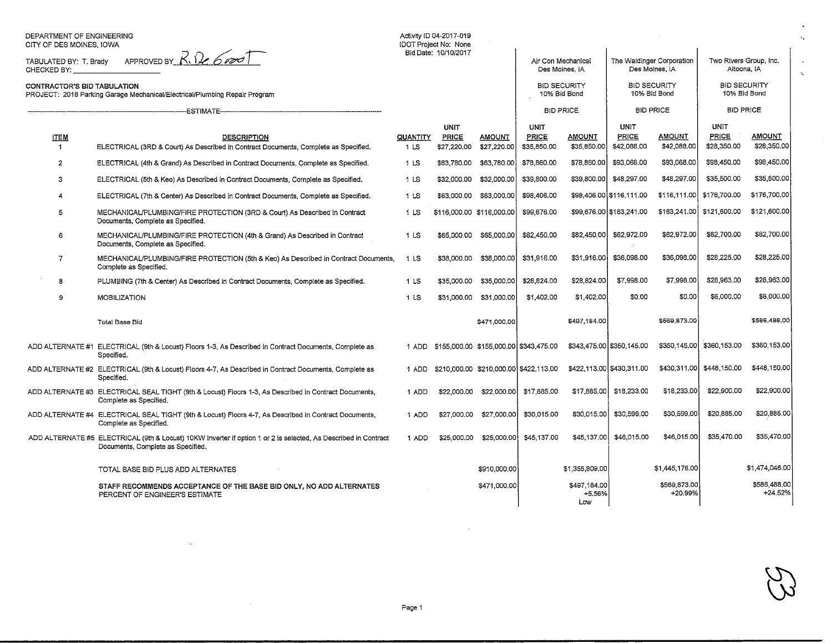| DEPARTMENT OF ENGINEERING<br>CITY OF DES MOINES, IOWA                                                                   |                                                                                                                                                      |                 | Activity ID 04-2017-019<br>IDOT Project No: None<br>Bid Date: 10/10/2017 |                                              |                                     |                                      |                                     |                                             |                                     |                                       |
|-------------------------------------------------------------------------------------------------------------------------|------------------------------------------------------------------------------------------------------------------------------------------------------|-----------------|--------------------------------------------------------------------------|----------------------------------------------|-------------------------------------|--------------------------------------|-------------------------------------|---------------------------------------------|-------------------------------------|---------------------------------------|
| APPROVED BY $R, Q, 6$<br>TABULATED BY: T. Brady<br>CHECKED BY:                                                          |                                                                                                                                                      |                 |                                                                          |                                              |                                     | Air Con Mechanical<br>Des Moines, IA |                                     | The Waldinger Corporation<br>Des Moines, IA |                                     | Two Rivers Group, Inc.<br>Altoona, IA |
| CONTRACTOR'S BID TABULATION<br>PROJECT: 2018 Parking Garage Mechanical/Electrical/Plumbing Repair Program<br>-ESTIMATE- |                                                                                                                                                      |                 |                                                                          |                                              | <b>BID SECURITY</b><br>10% Bid Bond |                                      | <b>BID SECURITY</b><br>10% Bid Bond |                                             | <b>BID SECURITY</b><br>10% Bid Bond |                                       |
|                                                                                                                         |                                                                                                                                                      |                 |                                                                          |                                              | <b>BID PRICE</b>                    |                                      | <b>BID PRICE</b>                    |                                             | <b>BID PRICE</b>                    |                                       |
| <b>ITEM</b>                                                                                                             | DESCRIPTION                                                                                                                                          | QUANTITY        | <b>UNIT</b><br><b>PRICE</b>                                              | <b>AMOUNT</b>                                | <b>UNIT</b><br><b>PRICE</b>         | <b>AMOUNT</b>                        | <b>UNIT</b><br><b>PRICE</b>         | <u>AMOUNT</u>                               | <b>UNIT</b><br><b>PRICE</b>         | <b>AMOUNT</b>                         |
| $\blacktriangleleft$                                                                                                    | ELECTRICAL (3RD & Court) As Described in Contract Documents, Complete as Specified.                                                                  | 1 <sub>LS</sub> | \$27,220.00                                                              | \$27,220.00                                  | \$35,850.00                         | \$35,850,00                          | \$42,088,00                         | \$42,088.00                                 | \$28,350.00                         | \$28,350.00                           |
| $\overline{2}$                                                                                                          | ELECTRICAL (4th & Grand) As Described in Contract Documents, Complete as Specified.                                                                  | 1 <sub>LS</sub> | \$63,780,00                                                              | \$63,780.00                                  | \$78,860.00                         | \$78,860.00                          | \$93,068.00                         | \$93,068.00                                 | \$98,450.00                         | \$98,450.00                           |
| 3                                                                                                                       | ELECTRICAL (5th & Keo) As Described in Contract Documents, Complete as Specified.                                                                    | 1 LS            | \$32,000.00                                                              | \$32,000.00                                  | \$39,800.00                         | \$39,800.00                          | \$48,297.00                         | \$48,297.00                                 | \$35,500.00                         | \$35,500.00                           |
| 4                                                                                                                       | ELECTRICAL (7th & Center) As Described in Contract Documents, Complete as Specified.                                                                 | 1 <sub>LS</sub> | \$63,000.00                                                              | \$63,000,00                                  | \$98,406.00                         |                                      | \$98,406.00 \$116,111.00            |                                             | \$116,111.00 \$176,700.00           | \$176,700,00                          |
| 5                                                                                                                       | MECHANICAL/PLUMBING/FIRE PROTECTION (3RD & Court) As Described in Contract<br>Documents, Complete as Specified.                                      | 1 LS            | \$116,000.00 \$116,000.00                                                |                                              | \$99,676.00                         |                                      | \$99,676.00 \$163,241.00            | \$163,241,00                                | \$121,600.00                        | \$121,600.00                          |
| 6                                                                                                                       | MECHANICAL/PLUMBING/FIRE PROTECTION (4th & Grand) As Described in Contract<br>Documents, Complete as Specified.                                      | 1 LS            | \$65,000.00                                                              | \$65,000.00                                  | \$82,450.00                         | \$82,450.00                          | \$62,972,00                         | \$62,972.00                                 | \$62,700.00                         | \$62,700.00                           |
| $\overline{7}$                                                                                                          | MECHANICAL/PLUMBING/FIRE PROTECTION (5th & Keo) As Described in Contract Documents,<br>Complete as Specified.                                        | 1 LS            | \$38,000,00                                                              | \$38,000,00                                  | \$31,916.00                         | \$31,916.00                          | \$36,098.00                         | \$36,098.00                                 | \$28,225.00                         | \$28,225.00                           |
| 8                                                                                                                       | PLUMBING (7th & Center) As Described in Contract Documents, Complete as Specified.                                                                   | 1 <sub>LS</sub> | \$35,000.00                                                              | \$35,000,00                                  | \$28,824.00                         | \$28,824.00                          | \$7,998.00                          | \$7,998.00                                  | \$28,963.00                         | \$28,963.00                           |
| $\overline{9}$                                                                                                          | <b>MOBILIZATION</b>                                                                                                                                  | 1 LS            | \$31,000.00                                                              | \$31,000.00                                  | \$1,402.00                          | \$1,402.00                           | \$0.00                              | \$0.00                                      | \$6,000.00                          | \$6,000.00                            |
|                                                                                                                         | <b>Total Base Bid</b>                                                                                                                                |                 |                                                                          | \$471,000.00                                 |                                     | \$497,184.00                         |                                     | \$569,873.00                                |                                     | \$586,488.00                          |
|                                                                                                                         | ADD ALTERNATE #1 ELECTRICAL (9th & Locust) Floors 1-3, As Described in Contract Documents, Complete as<br>Specified.                                 |                 |                                                                          | 1 ADD \$155,000.00 \$155,000.00 \$343,475.00 |                                     |                                      | \$343,475.00 \$350,145.00           |                                             | \$350,145.00 \$360,153.00           | \$360,153.00                          |
|                                                                                                                         | ADD ALTERNATE #2 ELECTRICAL (9th & Locust) Floors 4-7, As Described in Contract Documents, Complete as<br>Specified.                                 | 1 ADD           |                                                                          | \$210,000.00 \$210,000.00 \$422,113.00       |                                     |                                      | \$422,113.00 \$430,311.00           | \$430,311.00                                | \$448,150.00                        | \$448,150.00                          |
|                                                                                                                         | ADD ALTERNATE #3 ELECTRICAL SEAL TIGHT (9th & Locust) Floors 1-3, As Described in Contract Documents,<br>Complete as Specified.                      | 1 ADD           | \$22,000.00                                                              | \$22,000.00                                  | \$17,885.00                         | \$17,885.00                          | \$18,233.00                         | \$18,233.00                                 | \$22,900.00                         | \$22,900.00                           |
|                                                                                                                         | ADD ALTERNATE #4 ELECTRICAL SEAL TIGHT (9th & Locust) Floors 4-7, As Described in Contract Documents,<br>Complete as Specified.                      | 1 ADD           | \$27,000.00                                                              | \$27,000.00                                  | \$30,015.00                         | \$30,015.00                          | \$30,599.00                         | \$30,599,00                                 | \$20,885.00                         | \$20,885.00                           |
|                                                                                                                         | ADD ALTERNATE #5 ELECTRICAL (9th & Locust) 10KW Inverter if option 1 or 2 is selected, As Described in Contract<br>Documents, Complete as Specified. | 1 ADD           | \$25,000.00                                                              | \$25,000,00                                  | \$45,137.00                         | \$45,137.00                          | \$46,015.00                         | \$46,015.00                                 | \$35,470.00                         | \$35,470.00                           |
|                                                                                                                         | TOTAL BASE BID PLUS ADD ALTERNATES                                                                                                                   |                 |                                                                          | \$910,000,00                                 |                                     | \$1,355,809.00                       |                                     | \$1,445,176.00                              |                                     | \$1,474,046.00                        |
|                                                                                                                         | STAFF RECOMMENDS ACCEPTANCE OF THE BASE BID ONLY, NO ADD ALTERNATES<br>PERCENT OF ENGINEER'S ESTIMATE                                                |                 |                                                                          | \$471,000.00                                 |                                     | \$497,184.00<br>$+5.56%$<br>Low      |                                     | \$569,873.00<br>+20.99%                     |                                     | \$586,488,00<br>$+24,52%$             |

 $\checkmark$ 

Ň,

 $\mathbf{q}^{\prime}$ 

 $\mathcal{L}^{\text{max}}_{\text{max}}$  ,  $\mathcal{L}^{\text{max}}_{\text{max}}$ 

 $\sim 10^7$ 

 $\sim 10$